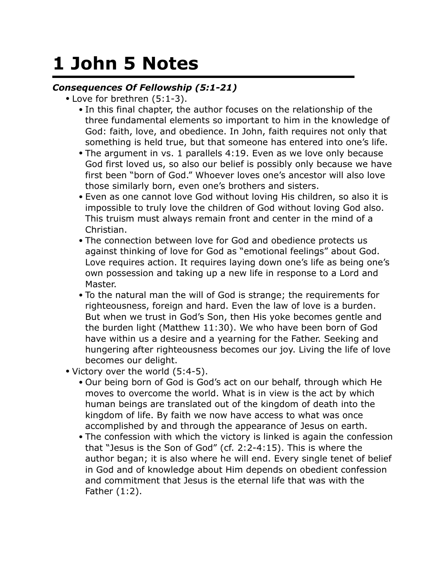## **1 John 5 Notes**

## *Consequences Of Fellowship (5:1-21)*

- Love for brethren (5:1-3).
	- In this final chapter, the author focuses on the relationship of the three fundamental elements so important to him in the knowledge of God: faith, love, and obedience. In John, faith requires not only that something is held true, but that someone has entered into one's life.
	- The argument in vs. 1 parallels 4:19. Even as we love only because God first loved us, so also our belief is possibly only because we have first been "born of God." Whoever loves one's ancestor will also love those similarly born, even one's brothers and sisters.
	- Even as one cannot love God without loving His children, so also it is impossible to truly love the children of God without loving God also. This truism must always remain front and center in the mind of a Christian.
	- The connection between love for God and obedience protects us against thinking of love for God as "emotional feelings" about God. Love requires action. It requires laying down one's life as being one's own possession and taking up a new life in response to a Lord and Master.
	- To the natural man the will of God is strange; the requirements for righteousness, foreign and hard. Even the law of love is a burden. But when we trust in God's Son, then His yoke becomes gentle and the burden light (Matthew 11:30). We who have been born of God have within us a desire and a yearning for the Father. Seeking and hungering after righteousness becomes our joy. Living the life of love becomes our delight.
- Victory over the world (5:4-5).
	- Our being born of God is God's act on our behalf, through which He moves to overcome the world. What is in view is the act by which human beings are translated out of the kingdom of death into the kingdom of life. By faith we now have access to what was once accomplished by and through the appearance of Jesus on earth.
	- The confession with which the victory is linked is again the confession that "Jesus is the Son of God" (cf. 2:2-4:15). This is where the author began; it is also where he will end. Every single tenet of belief in God and of knowledge about Him depends on obedient confession and commitment that Jesus is the eternal life that was with the Father (1:2).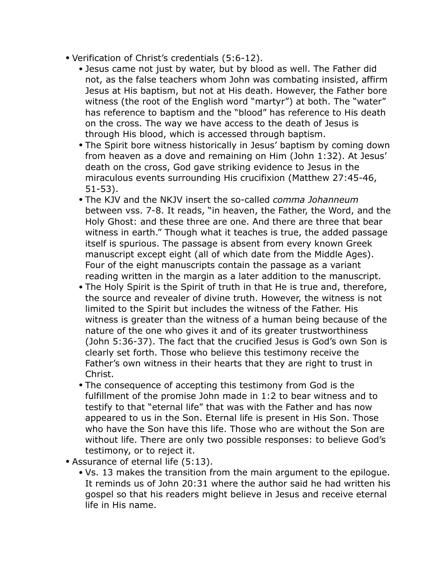- Verification of Christ's credentials (5:6-12).
	- Jesus came not just by water, but by blood as well. The Father did not, as the false teachers whom John was combating insisted, affirm Jesus at His baptism, but not at His death. However, the Father bore witness (the root of the English word "martyr") at both. The "water" has reference to baptism and the "blood" has reference to His death on the cross. The way we have access to the death of Jesus is through His blood, which is accessed through baptism.
	- The Spirit bore witness historically in Jesus' baptism by coming down from heaven as a dove and remaining on Him (John 1:32). At Jesus' death on the cross, God gave striking evidence to Jesus in the miraculous events surrounding His crucifixion (Matthew 27:45-46, 51-53).
	- The KJV and the NKJV insert the so-called *comma Johanneum* between vss. 7-8. It reads, "in heaven, the Father, the Word, and the Holy Ghost: and these three are one. And there are three that bear witness in earth." Though what it teaches is true, the added passage itself is spurious. The passage is absent from every known Greek manuscript except eight (all of which date from the Middle Ages). Four of the eight manuscripts contain the passage as a variant reading written in the margin as a later addition to the manuscript.
	- The Holy Spirit is the Spirit of truth in that He is true and, therefore, the source and revealer of divine truth. However, the witness is not limited to the Spirit but includes the witness of the Father. His witness is greater than the witness of a human being because of the nature of the one who gives it and of its greater trustworthiness (John 5:36-37). The fact that the crucified Jesus is God's own Son is clearly set forth. Those who believe this testimony receive the Father's own witness in their hearts that they are right to trust in Christ.
	- The consequence of accepting this testimony from God is the fulfillment of the promise John made in 1:2 to bear witness and to testify to that "eternal life" that was with the Father and has now appeared to us in the Son. Eternal life is present in His Son. Those who have the Son have this life. Those who are without the Son are without life. There are only two possible responses: to believe God's testimony, or to reject it.
- Assurance of eternal life (5:13).
	- Vs. 13 makes the transition from the main argument to the epilogue. It reminds us of John 20:31 where the author said he had written his gospel so that his readers might believe in Jesus and receive eternal life in His name.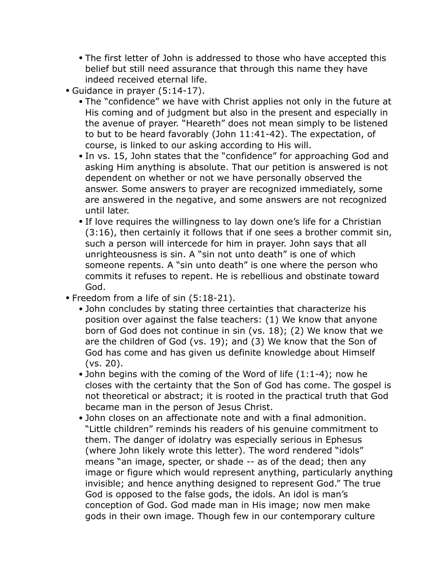- The first letter of John is addressed to those who have accepted this belief but still need assurance that through this name they have indeed received eternal life.
- Guidance in prayer (5:14-17).
	- The "confidence" we have with Christ applies not only in the future at His coming and of judgment but also in the present and especially in the avenue of prayer. "Heareth" does not mean simply to be listened to but to be heard favorably (John 11:41-42). The expectation, of course, is linked to our asking according to His will.
	- In vs. 15, John states that the "confidence" for approaching God and asking Him anything is absolute. That our petition is answered is not dependent on whether or not we have personally observed the answer. Some answers to prayer are recognized immediately, some are answered in the negative, and some answers are not recognized until later.
	- If love requires the willingness to lay down one's life for a Christian (3:16), then certainly it follows that if one sees a brother commit sin, such a person will intercede for him in prayer. John says that all unrighteousness is sin. A "sin not unto death" is one of which someone repents. A "sin unto death" is one where the person who commits it refuses to repent. He is rebellious and obstinate toward God.
- Freedom from a life of sin (5:18-21).
	- John concludes by stating three certainties that characterize his position over against the false teachers: (1) We know that anyone born of God does not continue in sin (vs. 18); (2) We know that we are the children of God (vs. 19); and (3) We know that the Son of God has come and has given us definite knowledge about Himself (vs. 20).
	- John begins with the coming of the Word of life (1:1-4); now he closes with the certainty that the Son of God has come. The gospel is not theoretical or abstract; it is rooted in the practical truth that God became man in the person of Jesus Christ.
	- John closes on an affectionate note and with a final admonition. "Little children" reminds his readers of his genuine commitment to them. The danger of idolatry was especially serious in Ephesus (where John likely wrote this letter). The word rendered "idols" means "an image, specter, or shade -- as of the dead; then any image or figure which would represent anything, particularly anything invisible; and hence anything designed to represent God." The true God is opposed to the false gods, the idols. An idol is man's conception of God. God made man in His image; now men make gods in their own image. Though few in our contemporary culture